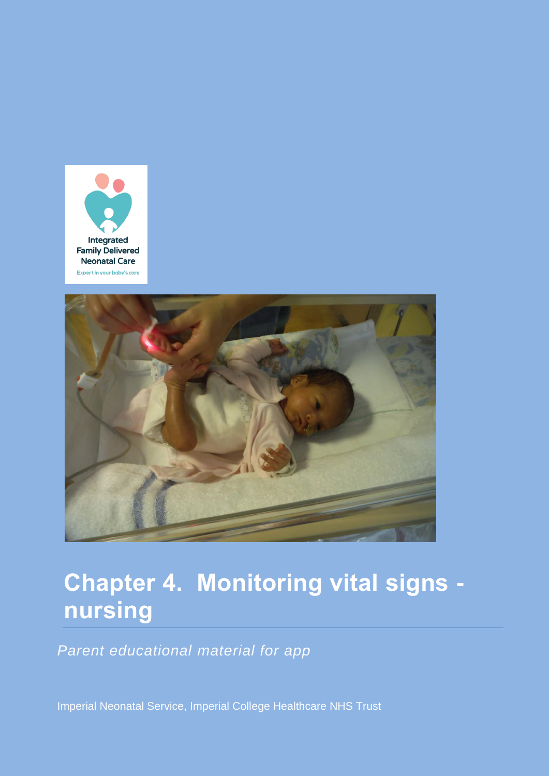



# **Chapter 4. Monitoring vital signs nursing**

*Parent educational material for app*

Imperial Neonatal Service, Imperial College Healthcare NHS Trust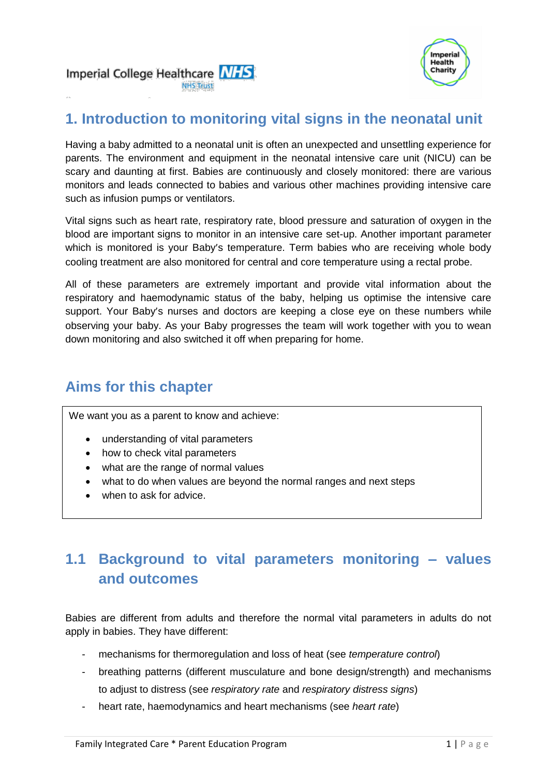

#### Imperial College Healthcare MHS **NHS Trust**

# **1. Introduction to monitoring vital signs in the neonatal unit**

Having a baby admitted to a neonatal unit is often an unexpected and unsettling experience for parents. The environment and equipment in the neonatal intensive care unit (NICU) can be scary and daunting at first. Babies are continuously and closely monitored: there are various monitors and leads connected to babies and various other machines providing intensive care such as infusion pumps or ventilators.

Vital signs such as heart rate, respiratory rate, blood pressure and saturation of oxygen in the blood are important signs to monitor in an intensive care set-up. Another important parameter which is monitored is your Baby's temperature. Term babies who are receiving whole body cooling treatment are also monitored for central and core temperature using a rectal probe.

All of these parameters are extremely important and provide vital information about the respiratory and haemodynamic status of the baby, helping us optimise the intensive care support. Your Baby's nurses and doctors are keeping a close eye on these numbers while observing your baby. As your Baby progresses the team will work together with you to wean down monitoring and also switched it off when preparing for home.

# **Aims for this chapter**

We want you as a parent to know and achieve:

- understanding of vital parameters
- how to check vital parameters
- what are the range of normal values
- what to do when values are beyond the normal ranges and next steps
- when to ask for advice.

# **1.1 Background to vital parameters monitoring – values and outcomes**

Babies are different from adults and therefore the normal vital parameters in adults do not apply in babies. They have different:

- mechanisms for thermoregulation and loss of heat (see *temperature control*)
- breathing patterns (different musculature and bone design/strength) and mechanisms to adjust to distress (see *respiratory rate* and *respiratory distress signs*)
- heart rate, haemodynamics and heart mechanisms (see *heart rate*)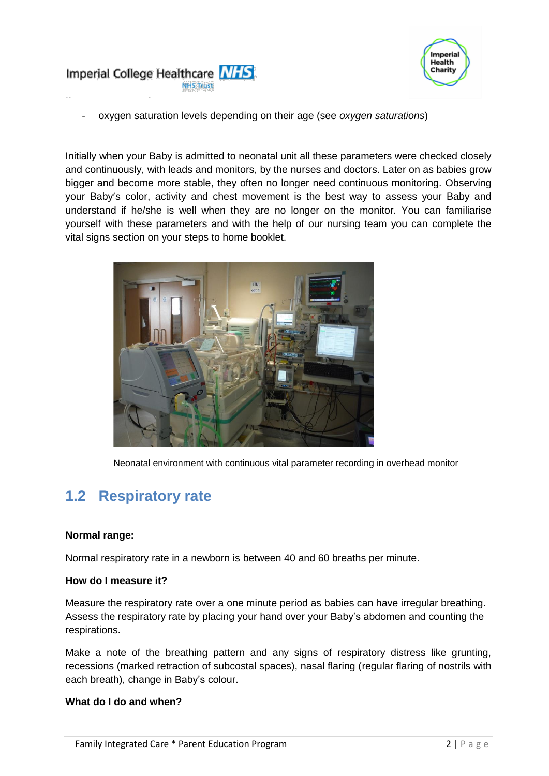



- oxygen saturation levels depending on their age (see *oxygen saturations*)

Initially when your Baby is admitted to neonatal unit all these parameters were checked closely and continuously, with leads and monitors, by the nurses and doctors. Later on as babies grow bigger and become more stable, they often no longer need continuous monitoring. Observing your Baby's color, activity and chest movement is the best way to assess your Baby and understand if he/she is well when they are no longer on the monitor. You can familiarise yourself with these parameters and with the help of our nursing team you can complete the vital signs section on your steps to home booklet.



Neonatal environment with continuous vital parameter recording in overhead monitor

# **1.2 Respiratory rate**

#### **Normal range:**

Normal respiratory rate in a newborn is between 40 and 60 breaths per minute.

#### **How do I measure it?**

Measure the respiratory rate over a one minute period as babies can have irregular breathing. Assess the respiratory rate by placing your hand over your Baby's abdomen and counting the respirations.

Make a note of the breathing pattern and any signs of respiratory distress like grunting, recessions (marked retraction of subcostal spaces), nasal flaring (regular flaring of nostrils with each breath), change in Baby's colour.

#### **What do I do and when?**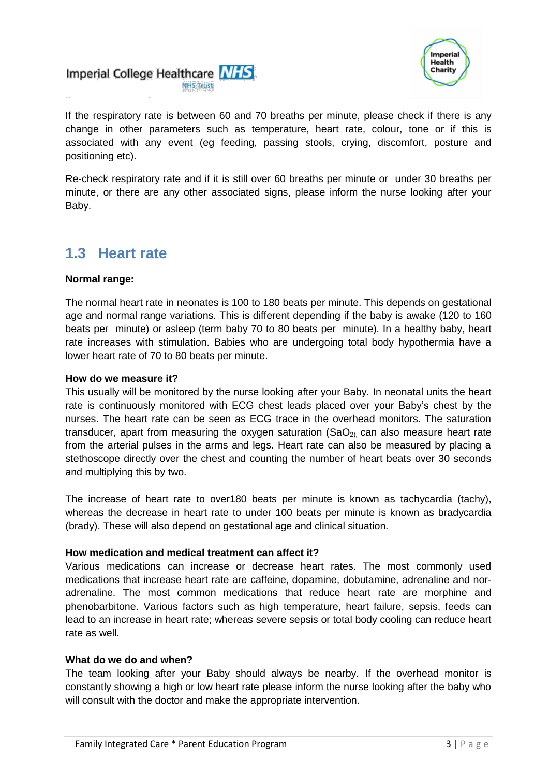



If the respiratory rate is between 60 and 70 breaths per minute, please check if there is any change in other parameters such as temperature, heart rate, colour, tone or if this is associated with any event (eg feeding, passing stools, crying, discomfort, posture and positioning etc).

Re-check respiratory rate and if it is still over 60 breaths per minute or under 30 breaths per minute, or there are any other associated signs, please inform the nurse looking after your Baby.

### **1.3 Heart rate**

#### **Normal range:**

The normal heart rate in neonates is 100 to 180 beats per minute. This depends on gestational age and normal range variations. This is different depending if the baby is awake (120 to 160 beats per minute) or asleep (term baby 70 to 80 beats per minute). In a healthy baby, heart rate increases with stimulation. Babies who are undergoing total body hypothermia have a lower heart rate of 70 to 80 beats per minute.

#### **How do we measure it?**

This usually will be monitored by the nurse looking after your Baby. In neonatal units the heart rate is continuously monitored with ECG chest leads placed over your Baby's chest by the nurses. The heart rate can be seen as ECG trace in the overhead monitors. The saturation transducer, apart from measuring the oxygen saturation  $(SaO<sub>2)</sub>$  can also measure heart rate from the arterial pulses in the arms and legs. Heart rate can also be measured by placing a stethoscope directly over the chest and counting the number of heart beats over 30 seconds and multiplying this by two.

The increase of heart rate to over180 beats per minute is known as tachycardia (tachy), whereas the decrease in heart rate to under 100 beats per minute is known as bradycardia (brady). These will also depend on gestational age and clinical situation.

#### **How medication and medical treatment can affect it?**

Various medications can increase or decrease heart rates. The most commonly used medications that increase heart rate are caffeine, dopamine, dobutamine, adrenaline and noradrenaline. The most common medications that reduce heart rate are morphine and phenobarbitone. Various factors such as high temperature, heart failure, sepsis, feeds can lead to an increase in heart rate; whereas severe sepsis or total body cooling can reduce heart rate as well.

#### **What do we do and when?**

The team looking after your Baby should always be nearby. If the overhead monitor is constantly showing a high or low heart rate please inform the nurse looking after the baby who will consult with the doctor and make the appropriate intervention.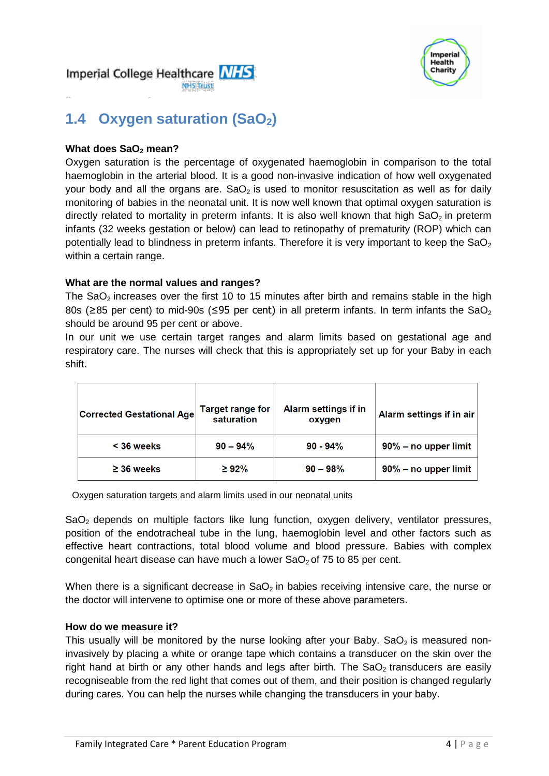



# **1.4 Oxygen saturation (SaO2)**

#### **What does SaO<sup>2</sup> mean?**

Oxygen saturation is the percentage of oxygenated haemoglobin in comparison to the total haemoglobin in the arterial blood. It is a good non-invasive indication of how well oxygenated your body and all the organs are.  $SaO<sub>2</sub>$  is used to monitor resuscitation as well as for daily monitoring of babies in the neonatal unit. It is now well known that optimal oxygen saturation is directly related to mortality in preterm infants. It is also well known that high  $SaO<sub>2</sub>$  in preterm infants (32 weeks gestation or below) can lead to retinopathy of prematurity (ROP) which can potentially lead to blindness in preterm infants. Therefore it is very important to keep the SaO<sub>2</sub> within a certain range.

#### **What are the normal values and ranges?**

The  $SaO<sub>2</sub>$  increases over the first 10 to 15 minutes after birth and remains stable in the high 80s ( $\geq$ 85 per cent) to mid-90s ( $\leq$ 95 per cent) in all preterm infants. In term infants the SaO<sub>2</sub> should be around 95 per cent or above.

In our unit we use certain target ranges and alarm limits based on gestational age and respiratory care. The nurses will check that this is appropriately set up for your Baby in each shift.

| <b>Corrected Gestational Age</b> | <b>Target range for</b><br>saturation | <b>Alarm settings if in</b><br>oxygen | Alarm settings if in air |
|----------------------------------|---------------------------------------|---------------------------------------|--------------------------|
| $<$ 36 weeks                     | $90 - 94\%$                           | $90 - 94%$                            | $90\%$ – no upper limit  |
| $\geq$ 36 weeks                  | $\geq 92\%$                           | $90 - 98%$                            | $90\%$ – no upper limit  |

Oxygen saturation targets and alarm limits used in our neonatal units

 $SaO<sub>2</sub>$  depends on multiple factors like lung function, oxygen delivery, ventilator pressures, position of the endotracheal tube in the lung, haemoglobin level and other factors such as effective heart contractions, total blood volume and blood pressure. Babies with complex congenital heart disease can have much a lower  $SaO<sub>2</sub>$  of 75 to 85 per cent.

When there is a significant decrease in  $SaO<sub>2</sub>$  in babies receiving intensive care, the nurse or the doctor will intervene to optimise one or more of these above parameters.

#### **How do we measure it?**

This usually will be monitored by the nurse looking after your Baby. SaO<sub>2</sub> is measured noninvasively by placing a white or orange tape which contains a transducer on the skin over the right hand at birth or any other hands and legs after birth. The  $SaO<sub>2</sub>$  transducers are easily recogniseable from the red light that comes out of them, and their position is changed regularly during cares. You can help the nurses while changing the transducers in your baby.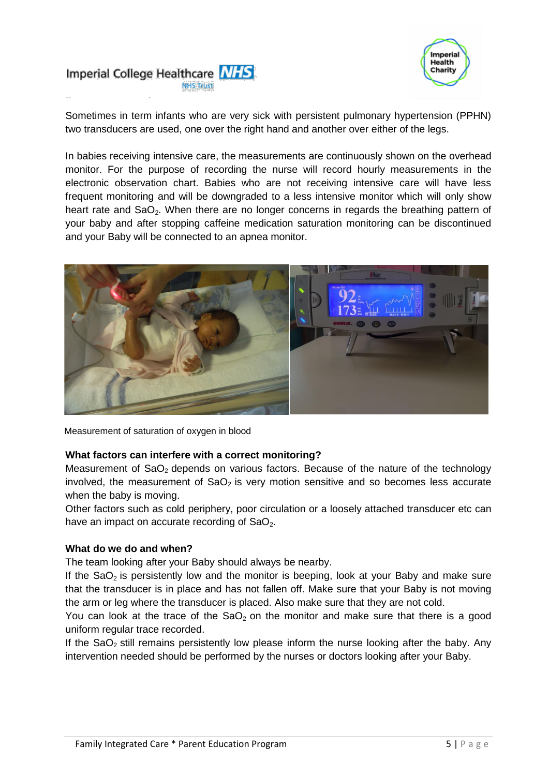



Sometimes in term infants who are very sick with persistent pulmonary hypertension (PPHN) two transducers are used, one over the right hand and another over either of the legs.

In babies receiving intensive care, the measurements are continuously shown on the overhead monitor. For the purpose of recording the nurse will record hourly measurements in the electronic observation chart. Babies who are not receiving intensive care will have less frequent monitoring and will be downgraded to a less intensive monitor which will only show heart rate and SaO<sub>2</sub>. When there are no longer concerns in regards the breathing pattern of your baby and after stopping caffeine medication saturation monitoring can be discontinued and your Baby will be connected to an apnea monitor.



Measurement of saturation of oxygen in blood

#### **What factors can interfere with a correct monitoring?**

Measurement of  $a_2$  depends on various factors. Because of the nature of the technology involved, the measurement of  $SaO<sub>2</sub>$  is very motion sensitive and so becomes less accurate when the baby is moving.

Other factors such as cold periphery, poor circulation or a loosely attached transducer etc can have an impact on accurate recording of  $a_2$ .

#### **What do we do and when?**

The team looking after your Baby should always be nearby.

If the  $SaO<sub>2</sub>$  is persistently low and the monitor is beeping, look at your Baby and make sure that the transducer is in place and has not fallen off. Make sure that your Baby is not moving the arm or leg where the transducer is placed. Also make sure that they are not cold.

You can look at the trace of the  $SaO<sub>2</sub>$  on the monitor and make sure that there is a good uniform regular trace recorded.

If the  $SaO<sub>2</sub>$  still remains persistently low please inform the nurse looking after the baby. Any intervention needed should be performed by the nurses or doctors looking after your Baby.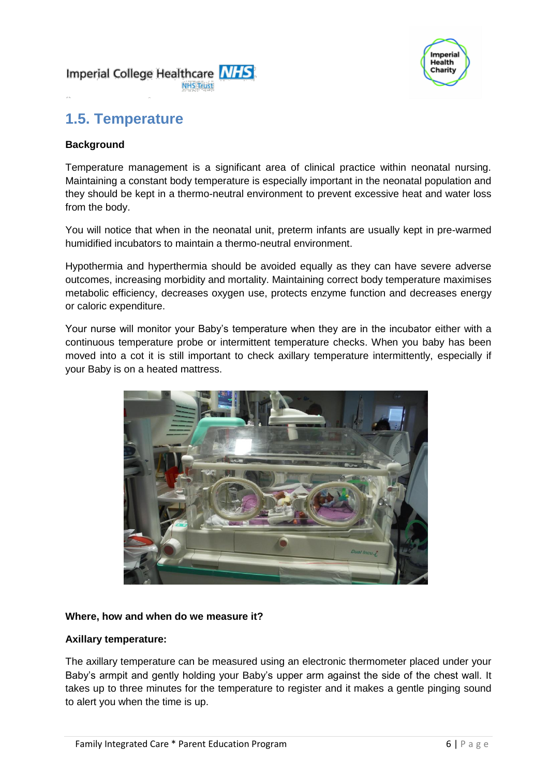



# **1.5. Temperature**

#### **Background**

Temperature management is a significant area of clinical practice within neonatal nursing. Maintaining a constant body temperature is especially important in the neonatal population and they should be kept in a thermo-neutral environment to prevent excessive heat and water loss from the body.

You will notice that when in the neonatal unit, preterm infants are usually kept in pre-warmed humidified incubators to maintain a thermo-neutral environment.

Hypothermia and hyperthermia should be avoided equally as they can have severe adverse outcomes, increasing morbidity and mortality. Maintaining correct body temperature maximises metabolic efficiency, decreases oxygen use, protects enzyme function and decreases energy or caloric expenditure.

Your nurse will monitor your Baby's temperature when they are in the incubator either with a continuous temperature probe or intermittent temperature checks. When you baby has been moved into a cot it is still important to check axillary temperature intermittently, especially if your Baby is on a heated mattress.



#### **Where, how and when do we measure it?**

#### **Axillary temperature:**

The axillary temperature can be measured using an electronic thermometer placed under your Baby's armpit and gently holding your Baby's upper arm against the side of the chest wall. It takes up to three minutes for the temperature to register and it makes a gentle pinging sound to alert you when the time is up.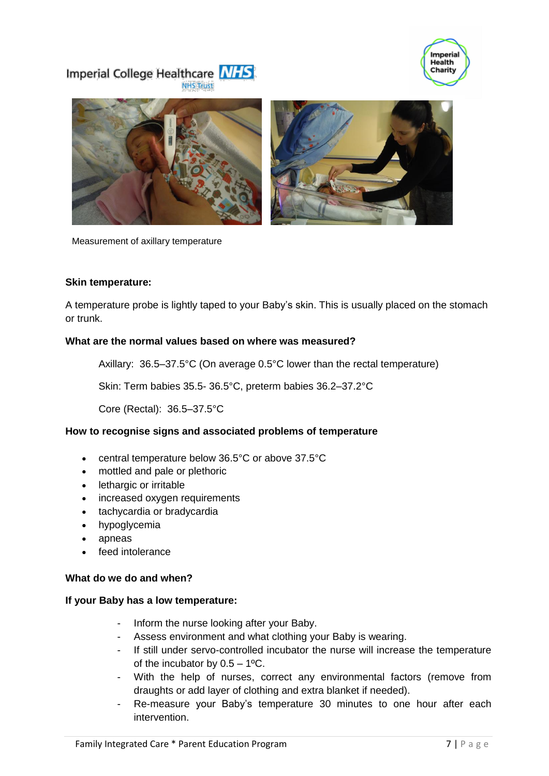





Measurement of axillary temperature

#### **Skin temperature:**

A temperature probe is lightly taped to your Baby's skin. This is usually placed on the stomach or trunk.

#### **What are the normal values based on where was measured?**

Axillary: 36.5–37.5°C (On average 0.5°C lower than the rectal temperature)

Skin: Term babies 35.5- 36.5°C, preterm babies 36.2–37.2°C

Core (Rectal): 36.5–37.5°C

#### **How to recognise signs and associated problems of temperature**

- central temperature below 36.5°C or above 37.5°C
- mottled and pale or plethoric
- lethargic or irritable
- increased oxygen requirements
- tachycardia or bradycardia
- hypoglycemia
- apneas
- feed intolerance

#### **What do we do and when?**

#### **If your Baby has a low temperature:**

- Inform the nurse looking after your Baby.
- Assess environment and what clothing your Baby is wearing.
- If still under servo-controlled incubator the nurse will increase the temperature of the incubator by  $0.5 - 1$ <sup>o</sup>C.
- With the help of nurses, correct any environmental factors (remove from draughts or add layer of clothing and extra blanket if needed).
- Re-measure your Baby's temperature 30 minutes to one hour after each intervention.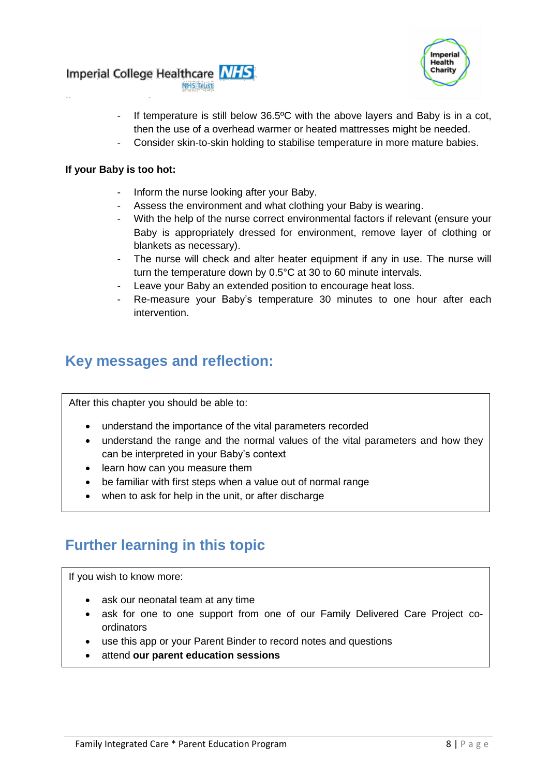



- If temperature is still below 36.5°C with the above layers and Baby is in a cot, then the use of a overhead warmer or heated mattresses might be needed.
- Consider skin-to-skin holding to stabilise temperature in more mature babies.

#### **If your Baby is too hot:**

- Inform the nurse looking after your Baby.
- Assess the environment and what clothing your Baby is wearing.
- With the help of the nurse correct environmental factors if relevant (ensure your Baby is appropriately dressed for environment, remove layer of clothing or blankets as necessary).
- The nurse will check and alter heater equipment if any in use. The nurse will turn the temperature down by 0.5°C at 30 to 60 minute intervals.
- Leave your Baby an extended position to encourage heat loss.
- Re-measure your Baby's temperature 30 minutes to one hour after each intervention.

### **Key messages and reflection:**

After this chapter you should be able to:

- understand the importance of the vital parameters recorded
- understand the range and the normal values of the vital parameters and how they can be interpreted in your Baby's context
- learn how can you measure them
- be familiar with first steps when a value out of normal range
- when to ask for help in the unit, or after discharge

# **Further learning in this topic**

If you wish to know more:

- ask our neonatal team at any time
- ask for one to one support from one of our Family Delivered Care Project coordinators
- use this app or your Parent Binder to record notes and questions
- attend **our parent education sessions**